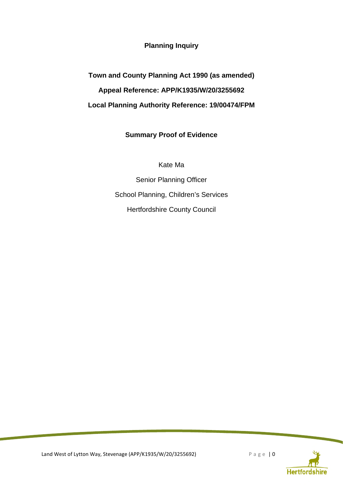**Planning Inquiry** 

**Town and County Planning Act 1990 (as amended) Appeal Reference: APP/K1935/W/20/3255692 Local Planning Authority Reference: 19/00474/FPM** 

## **Summary Proof of Evidence**

Kate Ma

Senior Planning Officer School Planning, Children's Services Hertfordshire County Council